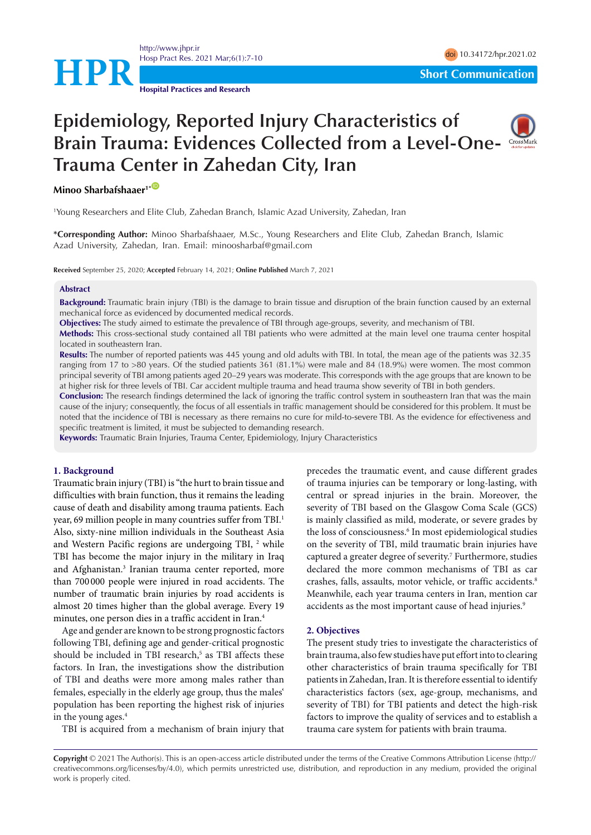

<http://www.jhpr.ir> Hosp Pract Res. 2021 Mar;6(1):7-10 doi [10.34172/hpr.2021.02](https://doi.org/10.34172/hpr.2021.02)

**Hospital Practices and Research**

# **Epidemiology, Reported Injury Characteristics of Brain Trauma: Evidences Collected from a Level-One-Trauma Center in Zahedan City, Iran**



# **Minoo Sharbafshaaer**<sup>1\*</sub></sup>

1 Young Researchers and Elite Club, Zahedan Branch, Islamic Azad University, Zahedan, Iran

**\*Corresponding Author:** Minoo Sharbafshaaer, M.Sc., Young Researchers and Elite Club, Zahedan Branch, Islamic Azad University, Zahedan, Iran. Email: minoosharbaf@gmail.com

**Received** September 25, 2020; **Accepted** February 14, 2021; **Online Published** March 7, 2021

### **Abstract**

**Background:** Traumatic brain injury (TBI) is the damage to brain tissue and disruption of the brain function caused by an external mechanical force as evidenced by documented medical records.

**Objectives:** The study aimed to estimate the prevalence of TBI through age-groups, severity, and mechanism of TBI.

**Methods:** This cross-sectional study contained all TBI patients who were admitted at the main level one trauma center hospital located in southeastern Iran.

**Results:** The number of reported patients was 445 young and old adults with TBI. In total, the mean age of the patients was 32.35 ranging from 17 to >80 years. Of the studied patients 361 (81.1%) were male and 84 (18.9%) were women. The most common principal severity of TBI among patients aged 20–29 years was moderate. This corresponds with the age groups that are known to be at higher risk for three levels of TBI. Car accident multiple trauma and head trauma show severity of TBI in both genders.

**Conclusion:** The research findings determined the lack of ignoring the traffic control system in southeastern Iran that was the main cause of the injury; consequently, the focus of all essentials in traffic management should be considered for this problem. It must be noted that the incidence of TBI is necessary as there remains no cure for mild-to-severe TBI. As the evidence for effectiveness and specific treatment is limited, it must be subjected to demanding research.

**Keywords:** Traumatic Brain Injuries, Trauma Center, Epidemiology, Injury Characteristics

# **1. Background**

Traumatic brain injury (TBI) is "the hurt to brain tissue and difficulties with brain function, thus it remains the leading cause of death and disability among trauma patients. Each year, 69 million people in many countries suffer from TBI.<sup>1</sup> Also, sixty-nine million individuals in the Southeast Asia and Western Pacific regions are undergoing TBI, <sup>2</sup> while TBI has become the major injury in the military in Iraq and Afghanistan.3 Iranian trauma center reported, more than 700 000 people were injured in road accidents. The number of traumatic brain injuries by road accidents is almost 20 times higher than the global average. Every 19 minutes, one person dies in a traffic accident in Iran.4

Age and gender are known to be strong prognostic factors following TBI, defining age and gender-critical prognostic should be included in TBI research,<sup>5</sup> as TBI affects these factors. In Iran, the investigations show the distribution of TBI and deaths were more among males rather than females, especially in the elderly age group, thus the males' population has been reporting the highest risk of injuries in the young ages. $4$ 

TBI is acquired from a mechanism of brain injury that

precedes the traumatic event, and cause different grades of trauma injuries can be temporary or long-lasting, with central or spread injuries in the brain. Moreover, the severity of TBI based on the Glasgow Coma Scale (GCS) is mainly classified as mild, moderate, or severe grades by the loss of consciousness.<sup>6</sup> In most epidemiological studies on the severity of TBI, mild traumatic brain injuries have captured a greater degree of severity.<sup>7</sup> Furthermore, studies declared the more common mechanisms of TBI as car crashes, falls, assaults, motor vehicle, or traffic accidents.8 Meanwhile, each year trauma centers in Iran, mention car accidents as the most important cause of head injuries.<sup>9</sup>

# **2. Objectives**

The present study tries to investigate the characteristics of brain trauma, also few studies have put effort into to clearing other characteristics of brain trauma specifically for TBI patients in Zahedan, Iran. It is therefore essential to identify characteristics factors (sex, age-group, mechanisms, and severity of TBI) for TBI patients and detect the high-risk factors to improve the quality of services and to establish a trauma care system for patients with brain trauma.

**Copyright** © 2021 The Author(s). This is an open-access article distributed under the terms of the Creative Commons Attribution License (http:// creativecommons.org/licenses/by/4.0), which permits unrestricted use, distribution, and reproduction in any medium, provided the original work is properly cited.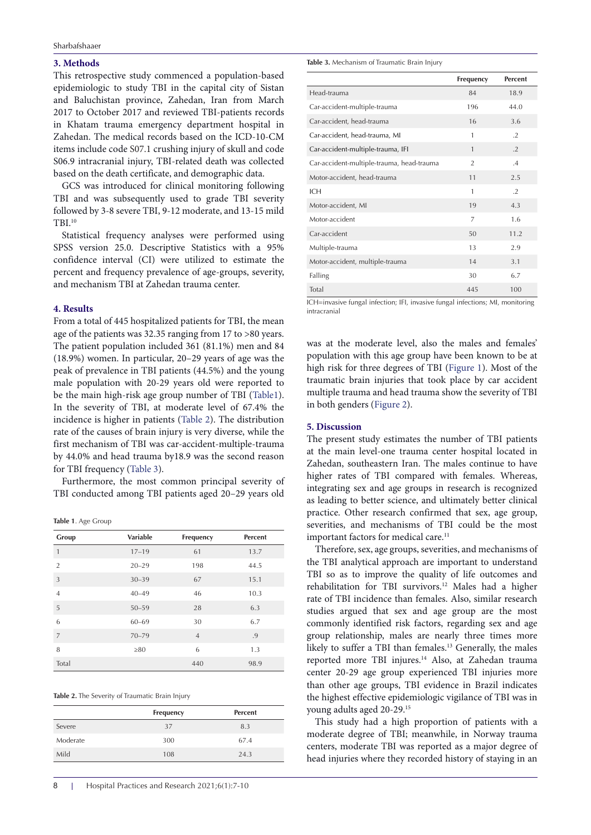# **3. Methods**

This retrospective study commenced a population-based epidemiologic to study TBI in the capital city of Sistan and Baluchistan province, Zahedan, Iran from March 2017 to October 2017 and reviewed TBI-patients records in Khatam trauma emergency department hospital in Zahedan. The medical records based on the ICD-10-CM items include code S07.1 crushing injury of skull and code S06.9 intracranial injury, TBI-related death was collected based on the death certificate, and demographic data.

GCS was introduced for clinical monitoring following TBI and was subsequently used to grade TBI severity followed by 3-8 severe TBI, 9-12 moderate, and 13-15 mild TBI.10

Statistical frequency analyses were performed using SPSS version 25.0. Descriptive Statistics with a 95% confidence interval (CI) were utilized to estimate the percent and frequency prevalence of age-groups, severity, and mechanism TBI at Zahedan trauma center.

### **4. Results**

From a total of 445 hospitalized patients for TBI, the mean age of the patients was 32.35 ranging from 17 to >80 years. The patient population included 361 (81.1%) men and 84 (18.9%) women. In particular, 20–29 years of age was the peak of prevalence in TBI patients (44.5%) and the young male population with 20-29 years old were reported to be the main high-risk age group number of TBI [\(Table1\)](#page-1-0). In the severity of TBI, at moderate level of 67.4% the incidence is higher in patients [\(Table 2\)](#page-1-1). The distribution rate of the causes of brain injury is very diverse, while the first mechanism of TBI was car-accident-multiple-trauma by 44.0% and head trauma by18.9 was the second reason for TBI frequency [\(Table 3](#page-1-2)).

Furthermore, the most common principal severity of TBI conducted among TBI patients aged 20–29 years old

<span id="page-1-0"></span>**Table 1**. Age Group

| Group          | <b>Variable</b> | Frequency      | <b>Percent</b> |
|----------------|-----------------|----------------|----------------|
| $\mathbf{1}$   | $17 - 19$       | 61             | 13.7           |
| $\overline{2}$ | $20 - 29$       | 198            | 44.5           |
| $\overline{3}$ | $30 - 39$       | 67             | 15.1           |
| $\overline{4}$ | $40 - 49$       | 46             | 10.3           |
| 5              | $50 - 59$       | 28             | 6.3            |
| 6              | $60 - 69$       | 30             | 6.7            |
| $\overline{7}$ | $70 - 79$       | $\overline{4}$ | .9             |
| 8              | $\geq 80$       | 6              | 1.3            |
| Total          |                 | 440            | 98.9           |

<span id="page-1-1"></span>

| Table 2. The Severity of Traumatic Brain Injury |  |  |  |  |
|-------------------------------------------------|--|--|--|--|
|-------------------------------------------------|--|--|--|--|

|          | Frequency | <b>Percent</b> |
|----------|-----------|----------------|
| Severe   | 37        | 8.3            |
| Moderate | 300       | 67.4           |
| Mild     | 108       | 24.3           |

<span id="page-1-2"></span>**Table 3.** Mechanism of Traumatic Brain Injury

|                                           | Frequency      | <b>Percent</b> |
|-------------------------------------------|----------------|----------------|
| Head-trauma                               | 84             | 18.9           |
| Car-accident-multiple-trauma              | 196            | 44.0           |
| Car-accident, head-trauma                 | 16             | 3.6            |
| Car-accident, head-trauma, MI             | $\mathbf{1}$   | $\cdot$ .2     |
| Car-accident-multiple-trauma, IFI         | $\mathbf{1}$   | $\cdot$ .2     |
| Car-accident-multiple-trauma, head-trauma | $\overline{2}$ | .4             |
| Motor-accident, head-trauma               | 11             | 2.5            |
| ICH                                       | 1              | $\cdot$        |
| Motor-accident, MI                        | 19             | 4.3            |
| Motor-accident                            | $\overline{7}$ | 1.6            |
| Car-accident                              | 50             | 11.2           |
| Multiple-trauma                           | 13             | 2.9            |
| Motor-accident, multiple-trauma           | 14             | 3.1            |
| Falling                                   | 30             | 6.7            |
| Total                                     | 445            | 100            |

ICH=invasive fungal infection; IFI, invasive fungal infections; MI, monitoring intracranial

was at the moderate level, also the males and females' population with this age group have been known to be at high risk for three degrees of TBI [\(Figure 1\)](#page-2-0). Most of the traumatic brain injuries that took place by car accident multiple trauma and head trauma show the severity of TBI in both genders [\(Figure 2\)](#page-2-1).

### **5. Discussion**

The present study estimates the number of TBI patients at the main level-one trauma center hospital located in Zahedan, southeastern Iran. The males continue to have higher rates of TBI compared with females. Whereas, integrating sex and age groups in research is recognized as leading to better science, and ultimately better clinical practice. Other research confirmed that sex, age group, severities, and mechanisms of TBI could be the most important factors for medical care.<sup>11</sup>

Therefore, sex, age groups, severities, and mechanisms of the TBI analytical approach are important to understand TBI so as to improve the quality of life outcomes and rehabilitation for TBI survivors.<sup>12</sup> Males had a higher rate of TBI incidence than females. Also, similar research studies argued that sex and age group are the most commonly identified risk factors, regarding sex and age group relationship, males are nearly three times more likely to suffer a TBI than females.<sup>13</sup> Generally, the males reported more TBI injures.<sup>14</sup> Also, at Zahedan trauma center 20-29 age group experienced TBI injuries more than other age groups, TBI evidence in Brazil indicates the highest effective epidemiologic vigilance of TBI was in young adults aged 20-29.15

This study had a high proportion of patients with a moderate degree of TBI; meanwhile, in Norway trauma centers, moderate TBI was reported as a major degree of head injuries where they recorded history of staying in an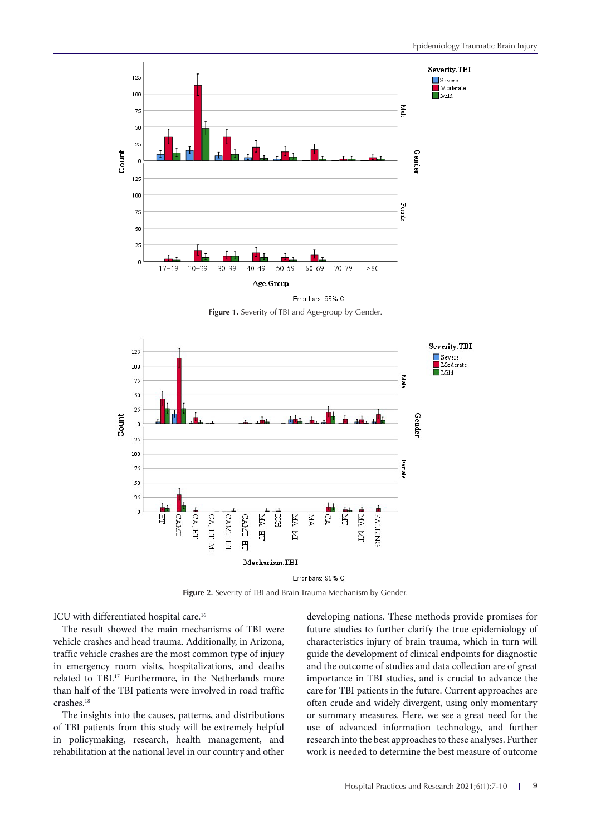<span id="page-2-0"></span>

**Figure 1.** Severity of TBI and Age-group by Gender.

<span id="page-2-1"></span>

Error bars: 95% CI

**Figure 2.** Severity of TBI and Brain Trauma Mechanism by Gender.

ICU with differentiated hospital care.<sup>16</sup>

The result showed the main mechanisms of TBI were vehicle crashes and head trauma. Additionally, in Arizona, traffic vehicle crashes are the most common type of injury in emergency room visits, hospitalizations, and deaths related to TBI.17 Furthermore, in the Netherlands more than half of the TBI patients were involved in road traffic crashes.<sup>18</sup>

The insights into the causes, patterns, and distributions of TBI patients from this study will be extremely helpful in policymaking, research, health management, and rehabilitation at the national level in our country and other

developing nations. These methods provide promises for future studies to further clarify the true epidemiology of characteristics injury of brain trauma, which in turn will guide the development of clinical endpoints for diagnostic and the outcome of studies and data collection are of great importance in TBI studies, and is crucial to advance the care for TBI patients in the future. Current approaches are often crude and widely divergent, using only momentary or summary measures. Here, we see a great need for the use of advanced information technology, and further research into the best approaches to these analyses. Further work is needed to determine the best measure of outcome